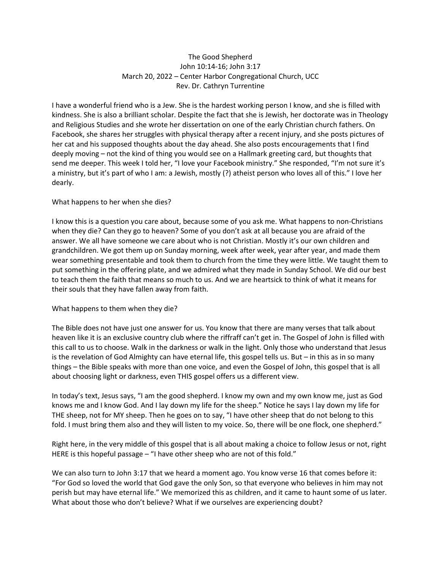## The Good Shepherd John 10:14-16; John 3:17 March 20, 2022 – Center Harbor Congregational Church, UCC Rev. Dr. Cathryn Turrentine

I have a wonderful friend who is a Jew. She is the hardest working person I know, and she is filled with kindness. She is also a brilliant scholar. Despite the fact that she is Jewish, her doctorate was in Theology and Religious Studies and she wrote her dissertation on one of the early Christian church fathers. On Facebook, she shares her struggles with physical therapy after a recent injury, and she posts pictures of her cat and his supposed thoughts about the day ahead. She also posts encouragements that I find deeply moving – not the kind of thing you would see on a Hallmark greeting card, but thoughts that send me deeper. This week I told her, "I love your Facebook ministry." She responded, "I'm not sure it's a ministry, but it's part of who I am: a Jewish, mostly (?) atheist person who loves all of this." I love her dearly.

## What happens to her when she dies?

I know this is a question you care about, because some of you ask me. What happens to non-Christians when they die? Can they go to heaven? Some of you don't ask at all because you are afraid of the answer. We all have someone we care about who is not Christian. Mostly it's our own children and grandchildren. We got them up on Sunday morning, week after week, year after year, and made them wear something presentable and took them to church from the time they were little. We taught them to put something in the offering plate, and we admired what they made in Sunday School. We did our best to teach them the faith that means so much to us. And we are heartsick to think of what it means for their souls that they have fallen away from faith.

## What happens to them when they die?

The Bible does not have just one answer for us. You know that there are many verses that talk about heaven like it is an exclusive country club where the riffraff can't get in. The Gospel of John is filled with this call to us to choose. Walk in the darkness or walk in the light. Only those who understand that Jesus is the revelation of God Almighty can have eternal life, this gospel tells us. But – in this as in so many things – the Bible speaks with more than one voice, and even the Gospel of John, this gospel that is all about choosing light or darkness, even THIS gospel offers us a different view.

In today's text, Jesus says, "I am the good shepherd. I know my own and my own know me, just as God knows me and I know God. And I lay down my life for the sheep." Notice he says I lay down my life for THE sheep, not for MY sheep. Then he goes on to say, "I have other sheep that do not belong to this fold. I must bring them also and they will listen to my voice. So, there will be one flock, one shepherd."

Right here, in the very middle of this gospel that is all about making a choice to follow Jesus or not, right HERE is this hopeful passage – "I have other sheep who are not of this fold."

We can also turn to John 3:17 that we heard a moment ago. You know verse 16 that comes before it: "For God so loved the world that God gave the only Son, so that everyone who believes in him may not perish but may have eternal life." We memorized this as children, and it came to haunt some of us later. What about those who don't believe? What if we ourselves are experiencing doubt?